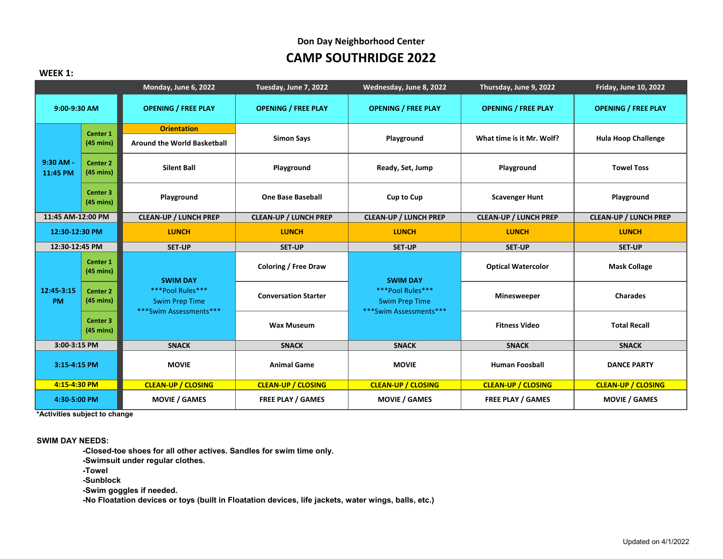#### **WEEK 1:**

|                         |                                            | Monday, June 6, 2022                                                                   | Tuesday, June 7, 2022        | Wednesday, June 8, 2022                                                                | Thursday, June 9, 2022       | <b>Friday, June 10, 2022</b> |
|-------------------------|--------------------------------------------|----------------------------------------------------------------------------------------|------------------------------|----------------------------------------------------------------------------------------|------------------------------|------------------------------|
| 9:00-9:30 AM            |                                            | <b>OPENING / FREE PLAY</b>                                                             | <b>OPENING / FREE PLAY</b>   | <b>OPENING / FREE PLAY</b>                                                             | <b>OPENING / FREE PLAY</b>   | <b>OPENING / FREE PLAY</b>   |
|                         | Center 1                                   | <b>Orientation</b>                                                                     |                              |                                                                                        |                              |                              |
| 9:30 AM -<br>11:45 PM   | $(45 \text{ mins})$                        | <b>Around the World Basketball</b>                                                     | <b>Simon Says</b>            | Playground                                                                             | What time is it Mr. Wolf?    | <b>Hula Hoop Challenge</b>   |
|                         | Center <sub>2</sub><br>$(45 \text{ mins})$ | <b>Silent Ball</b>                                                                     | Playground                   | Ready, Set, Jump                                                                       | Playground                   | <b>Towel Toss</b>            |
|                         | Center 3<br>$(45 \text{ mins})$            | Playground                                                                             | <b>One Base Baseball</b>     | <b>Cup to Cup</b>                                                                      | <b>Scavenger Hunt</b>        | Playground                   |
| 11:45 AM-12:00 PM       |                                            | <b>CLEAN-UP / LUNCH PREP</b>                                                           | <b>CLEAN-UP / LUNCH PREP</b> | <b>CLEAN-UP / LUNCH PREP</b>                                                           | <b>CLEAN-UP / LUNCH PREP</b> | <b>CLEAN-UP / LUNCH PREP</b> |
| 12:30-12:30 PM          |                                            | <b>LUNCH</b>                                                                           | <b>LUNCH</b>                 | <b>LUNCH</b>                                                                           | <b>LUNCH</b>                 | <b>LUNCH</b>                 |
| 12:30-12:45 PM          |                                            | <b>SET-UP</b>                                                                          | <b>SET-UP</b>                | <b>SET-UP</b>                                                                          | <b>SET-UP</b>                | <b>SET-UP</b>                |
|                         | Center 1<br>$(45 \text{ mins})$            | <b>SWIM DAY</b><br>***Pool Rules***<br><b>Swim Prep Time</b><br>***Swim Assessments*** | <b>Coloring / Free Draw</b>  | <b>SWIM DAY</b><br>***Pool Rules***<br><b>Swim Prep Time</b><br>***Swim Assessments*** | <b>Optical Watercolor</b>    | <b>Mask Collage</b>          |
| 12:45-3:15<br><b>PM</b> | Center <sub>2</sub><br>$(45 \text{ mins})$ |                                                                                        | <b>Conversation Starter</b>  |                                                                                        | <b>Minesweeper</b>           | <b>Charades</b>              |
|                         | Center 3<br>$(45 \text{ mins})$            |                                                                                        | <b>Wax Museum</b>            |                                                                                        | <b>Fitness Video</b>         | <b>Total Recall</b>          |
| 3:00-3:15 PM            |                                            | <b>SNACK</b>                                                                           | <b>SNACK</b>                 | <b>SNACK</b>                                                                           | <b>SNACK</b>                 | <b>SNACK</b>                 |
| 3:15-4:15 PM            |                                            | <b>MOVIE</b>                                                                           | <b>Animal Game</b>           | <b>MOVIE</b>                                                                           | <b>Human Foosball</b>        | <b>DANCE PARTY</b>           |
| 4:15-4:30 PM            |                                            | <b>CLEAN-UP / CLOSING</b>                                                              | <b>CLEAN-UP / CLOSING</b>    | <b>CLEAN-UP / CLOSING</b>                                                              | <b>CLEAN-UP / CLOSING</b>    | <b>CLEAN-UP / CLOSING</b>    |
| 4:30-5:00 PM            |                                            | <b>MOVIE / GAMES</b>                                                                   | <b>FREE PLAY / GAMES</b>     | <b>MOVIE / GAMES</b>                                                                   | <b>FREE PLAY / GAMES</b>     | <b>MOVIE / GAMES</b>         |

**\*Activities subject to change**

**SWIM DAY NEEDS:**

**-Closed-toe shoes for all other actives. Sandles for swim time only. -Swimsuit under regular clothes. -Towel -Sunblock -Swim goggles if needed. -No Floatation devices or toys (built in Floatation devices, life jackets, water wings, balls, etc.)**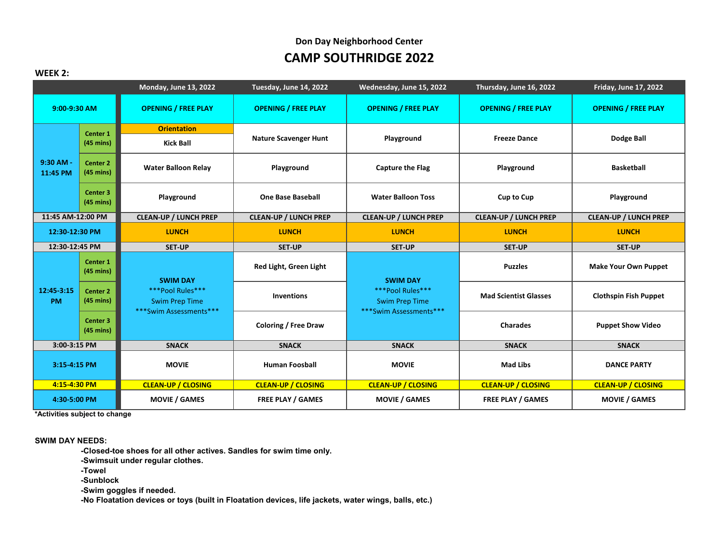#### **WEEK 2:**

|                         |                                            | Monday, June 13, 2022                                                                  | Tuesday, June 14, 2022       | Wednesday, June 15, 2022                                            | Thursday, June 16, 2022      | <b>Friday, June 17, 2022</b> |
|-------------------------|--------------------------------------------|----------------------------------------------------------------------------------------|------------------------------|---------------------------------------------------------------------|------------------------------|------------------------------|
| 9:00-9:30 AM            |                                            | <b>OPENING / FREE PLAY</b>                                                             | <b>OPENING / FREE PLAY</b>   | <b>OPENING / FREE PLAY</b>                                          | <b>OPENING / FREE PLAY</b>   | <b>OPENING / FREE PLAY</b>   |
|                         | Center <sub>1</sub>                        | <b>Orientation</b>                                                                     |                              |                                                                     |                              |                              |
| 9:30 AM -<br>11:45 PM   | $(45 \text{ mins})$                        | <b>Kick Ball</b>                                                                       | <b>Nature Scavenger Hunt</b> | Playground                                                          | <b>Freeze Dance</b>          | Dodge Ball                   |
|                         | Center 2<br>$(45 \text{ mins})$            | <b>Water Balloon Relay</b>                                                             | Playground                   | <b>Capture the Flag</b>                                             | Playground                   | <b>Basketball</b>            |
|                         | Center 3<br>$(45 \text{ mins})$            | Playground                                                                             | <b>One Base Baseball</b>     | <b>Water Balloon Toss</b>                                           | <b>Cup to Cup</b>            | Playground                   |
| 11:45 AM-12:00 PM       |                                            | <b>CLEAN-UP / LUNCH PREP</b>                                                           | <b>CLEAN-UP / LUNCH PREP</b> | <b>CLEAN-UP / LUNCH PREP</b>                                        | <b>CLEAN-UP / LUNCH PREP</b> | <b>CLEAN-UP / LUNCH PREP</b> |
| 12:30-12:30 PM          |                                            | <b>LUNCH</b>                                                                           | <b>LUNCH</b>                 | <b>LUNCH</b>                                                        | <b>LUNCH</b>                 | <b>LUNCH</b>                 |
| 12:30-12:45 PM          |                                            | <b>SET-UP</b>                                                                          | <b>SET-UP</b>                | <b>SET-UP</b>                                                       | <b>SET-UP</b>                | <b>SET-UP</b>                |
|                         | Center 1<br>$(45 \text{ mins})$            | <b>SWIM DAY</b><br>***Pool Rules***<br><b>Swim Prep Time</b><br>***Swim Assessments*** | Red Light, Green Light       | <b>SWIM DAY</b>                                                     | <b>Puzzles</b>               | <b>Make Your Own Puppet</b>  |
| 12:45-3:15<br><b>PM</b> | Center <sub>2</sub><br>$(45 \text{ mins})$ |                                                                                        | <b>Inventions</b>            | ***Pool Rules***<br><b>Swim Prep Time</b><br>***Swim Assessments*** | <b>Mad Scientist Glasses</b> | <b>Clothspin Fish Puppet</b> |
|                         | Center 3<br>$(45 \text{ mins})$            |                                                                                        | <b>Coloring / Free Draw</b>  |                                                                     | <b>Charades</b>              | <b>Puppet Show Video</b>     |
| 3:00-3:15 PM            |                                            | <b>SNACK</b>                                                                           | <b>SNACK</b>                 | <b>SNACK</b>                                                        | <b>SNACK</b>                 | <b>SNACK</b>                 |
| 3:15-4:15 PM            |                                            | <b>MOVIE</b>                                                                           | <b>Human Foosball</b>        | <b>MOVIE</b>                                                        | <b>Mad Libs</b>              | <b>DANCE PARTY</b>           |
| 4:15-4:30 PM            |                                            | <b>CLEAN-UP / CLOSING</b>                                                              | <b>CLEAN-UP / CLOSING</b>    | <b>CLEAN-UP / CLOSING</b>                                           | <b>CLEAN-UP / CLOSING</b>    | <b>CLEAN-UP / CLOSING</b>    |
| 4:30-5:00 PM            |                                            | <b>MOVIE / GAMES</b>                                                                   | <b>FREE PLAY / GAMES</b>     | <b>MOVIE / GAMES</b>                                                | <b>FREE PLAY / GAMES</b>     | <b>MOVIE / GAMES</b>         |

**\*Activities subject to change**

**SWIM DAY NEEDS:**

**-Closed-toe shoes for all other actives. Sandles for swim time only.**

**-Swimsuit under regular clothes.**

**-Towel**

**-Sunblock**

**-Swim goggles if needed.**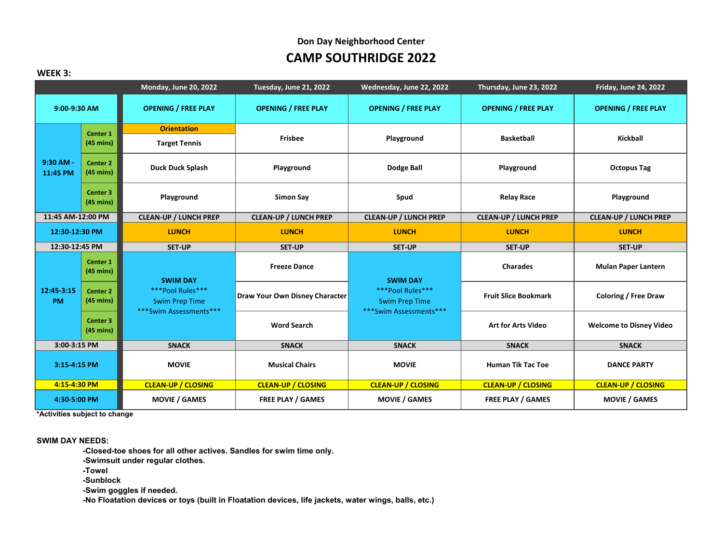#### **WEEK 3:**

|                         |                                            | Monday, June 20, 2022                                               | Tuesday, June 21, 2022         | Wednesday, June 22, 2022                                            | Thursday, June 23, 2022      | <b>Friday, June 24, 2022</b>   |
|-------------------------|--------------------------------------------|---------------------------------------------------------------------|--------------------------------|---------------------------------------------------------------------|------------------------------|--------------------------------|
| 9:00-9:30 AM            |                                            | <b>OPENING / FREE PLAY</b>                                          | <b>OPENING / FREE PLAY</b>     | <b>OPENING / FREE PLAY</b>                                          | <b>OPENING / FREE PLAY</b>   | <b>OPENING / FREE PLAY</b>     |
|                         | Center <sub>1</sub>                        | <b>Orientation</b>                                                  |                                |                                                                     |                              |                                |
| 9:30 AM -<br>11:45 PM   | $(45 \text{ mins})$                        | <b>Target Tennis</b>                                                | <b>Frisbee</b>                 | Playground                                                          | <b>Basketball</b>            | Kickball                       |
|                         | Center 2<br>$(45 \text{ mins})$            | <b>Duck Duck Splash</b>                                             | Playground                     | Dodge Ball                                                          | Playground                   | <b>Octopus Tag</b>             |
|                         | Center <sub>3</sub><br>$(45 \text{ mins})$ | Playground                                                          | <b>Simon Say</b>               | Spud                                                                | <b>Relay Race</b>            | Playground                     |
| 11:45 AM-12:00 PM       |                                            | <b>CLEAN-UP / LUNCH PREP</b>                                        | <b>CLEAN-UP / LUNCH PREP</b>   | <b>CLEAN-UP / LUNCH PREP</b>                                        | <b>CLEAN-UP / LUNCH PREP</b> | <b>CLEAN-UP / LUNCH PREP</b>   |
| 12:30-12:30 PM          |                                            | <b>LUNCH</b>                                                        | <b>LUNCH</b>                   | <b>LUNCH</b>                                                        | <b>LUNCH</b>                 | <b>LUNCH</b>                   |
| 12:30-12:45 PM          |                                            | <b>SET-UP</b>                                                       | SET-UP                         | <b>SET-UP</b>                                                       | <b>SET-UP</b>                | <b>SET-UP</b>                  |
|                         | Center 1<br>$(45 \text{ mins})$            | <b>SWIM DAY</b>                                                     | <b>Freeze Dance</b>            | <b>SWIM DAY</b>                                                     | <b>Charades</b>              | <b>Mulan Paper Lantern</b>     |
| 12:45-3:15<br><b>PM</b> | Center <sub>2</sub><br>$(45 \text{ mins})$ | ***Pool Rules***<br><b>Swim Prep Time</b><br>***Swim Assessments*** | Draw Your Own Disney Character | ***Pool Rules***<br><b>Swim Prep Time</b><br>***Swim Assessments*** | <b>Fruit Slice Bookmark</b>  | <b>Coloring / Free Draw</b>    |
|                         | Center 3<br>$(45 \text{ mins})$            |                                                                     | <b>Word Search</b>             |                                                                     | <b>Art for Arts Video</b>    | <b>Welcome to Disney Video</b> |
| 3:00-3:15 PM            |                                            | <b>SNACK</b>                                                        | <b>SNACK</b>                   | <b>SNACK</b>                                                        | <b>SNACK</b>                 | <b>SNACK</b>                   |
| 3:15-4:15 PM            |                                            | <b>MOVIE</b>                                                        | <b>Musical Chairs</b>          | <b>MOVIE</b>                                                        | <b>Human Tik Tac Toe</b>     | <b>DANCE PARTY</b>             |
| 4:15-4:30 PM            |                                            | <b>CLEAN-UP / CLOSING</b>                                           | <b>CLEAN-UP / CLOSING</b>      | <b>CLEAN-UP / CLOSING</b>                                           | <b>CLEAN-UP / CLOSING</b>    | <b>CLEAN-UP / CLOSING</b>      |
| 4:30-5:00 PM            |                                            | <b>MOVIE / GAMES</b>                                                | <b>FREE PLAY / GAMES</b>       | <b>MOVIE / GAMES</b>                                                | <b>FREE PLAY / GAMES</b>     | <b>MOVIE / GAMES</b>           |

**\*Activities subject to change**

**SWIM DAY NEEDS:**

**-Closed-toe shoes for all other actives. Sandles for swim time only. -Swimsuit under regular clothes. -Towel -Sunblock -Swim goggles if needed. -No Floatation devices or toys (built in Floatation devices, life jackets, water wings, balls, etc.)**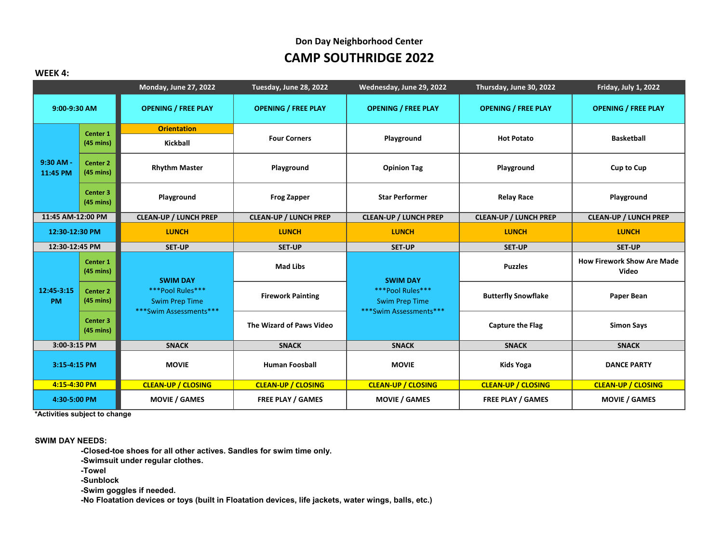#### **WEEK 4:**

|                         |                                            | Monday, June 27, 2022                                                                  | Tuesday, June 28, 2022       | Wednesday, June 29, 2022                                            | Thursday, June 30, 2022      | Friday, July 1, 2022                       |
|-------------------------|--------------------------------------------|----------------------------------------------------------------------------------------|------------------------------|---------------------------------------------------------------------|------------------------------|--------------------------------------------|
| 9:00-9:30 AM            |                                            | <b>OPENING / FREE PLAY</b>                                                             | <b>OPENING / FREE PLAY</b>   | <b>OPENING / FREE PLAY</b>                                          | <b>OPENING / FREE PLAY</b>   | <b>OPENING / FREE PLAY</b>                 |
| 9:30 AM -<br>11:45 PM   | Center 1                                   | <b>Orientation</b>                                                                     | <b>Four Corners</b>          | Playground                                                          | <b>Hot Potato</b>            | <b>Basketball</b>                          |
|                         | $(45 \text{ mins})$                        | Kickball                                                                               |                              |                                                                     |                              |                                            |
|                         | Center 2<br>$(45 \text{ mins})$            | <b>Rhythm Master</b>                                                                   | Playground                   | <b>Opinion Tag</b>                                                  | Playground                   | <b>Cup to Cup</b>                          |
|                         | Center 3<br>$(45 \text{ mins})$            | Playground                                                                             | <b>Frog Zapper</b>           | <b>Star Performer</b>                                               | <b>Relay Race</b>            | Playground                                 |
| 11:45 AM-12:00 PM       |                                            | <b>CLEAN-UP / LUNCH PREP</b>                                                           | <b>CLEAN-UP / LUNCH PREP</b> | <b>CLEAN-UP / LUNCH PREP</b>                                        | <b>CLEAN-UP / LUNCH PREP</b> | <b>CLEAN-UP / LUNCH PREP</b>               |
| 12:30-12:30 PM          |                                            | <b>LUNCH</b>                                                                           | <b>LUNCH</b>                 | <b>LUNCH</b>                                                        | <b>LUNCH</b>                 | <b>LUNCH</b>                               |
| 12:30-12:45 PM          |                                            | <b>SET-UP</b>                                                                          | <b>SET-UP</b>                | <b>SET-UP</b>                                                       | <b>SET-UP</b>                | <b>SET-UP</b>                              |
|                         | Center 1<br>$(45 \text{ mins})$            | <b>SWIM DAY</b><br>***Pool Rules***<br><b>Swim Prep Time</b><br>***Swim Assessments*** | <b>Mad Libs</b>              | <b>SWIM DAY</b>                                                     | <b>Puzzles</b>               | <b>How Firework Show Are Made</b><br>Video |
| 12:45-3:15<br><b>PM</b> | Center <sub>2</sub><br>$(45 \text{ mins})$ |                                                                                        | <b>Firework Painting</b>     | ***Pool Rules***<br><b>Swim Prep Time</b><br>***Swim Assessments*** | <b>Butterfly Snowflake</b>   | Paper Bean                                 |
|                         | Center 3<br>$(45 \text{ mins})$            |                                                                                        | The Wizard of Paws Video     |                                                                     | <b>Capture the Flag</b>      | <b>Simon Says</b>                          |
| 3:00-3:15 PM            |                                            | <b>SNACK</b>                                                                           | <b>SNACK</b>                 | <b>SNACK</b>                                                        | <b>SNACK</b>                 | <b>SNACK</b>                               |
| 3:15-4:15 PM            |                                            | <b>MOVIE</b>                                                                           | <b>Human Foosball</b>        | <b>MOVIE</b>                                                        | Kids Yoga                    | <b>DANCE PARTY</b>                         |
| 4:15-4:30 PM            |                                            | <b>CLEAN-UP / CLOSING</b>                                                              | <b>CLEAN-UP / CLOSING</b>    | <b>CLEAN-UP / CLOSING</b>                                           | <b>CLEAN-UP / CLOSING</b>    | <b>CLEAN-UP / CLOSING</b>                  |
| 4:30-5:00 PM            |                                            | <b>MOVIE / GAMES</b>                                                                   | <b>FREE PLAY / GAMES</b>     | <b>MOVIE / GAMES</b>                                                | <b>FREE PLAY / GAMES</b>     | <b>MOVIE / GAMES</b>                       |

**\*Activities subject to change**

**SWIM DAY NEEDS:**

**-Closed-toe shoes for all other actives. Sandles for swim time only.**

**-Swimsuit under regular clothes.**

**-Towel**

**-Sunblock**

**-Swim goggles if needed.**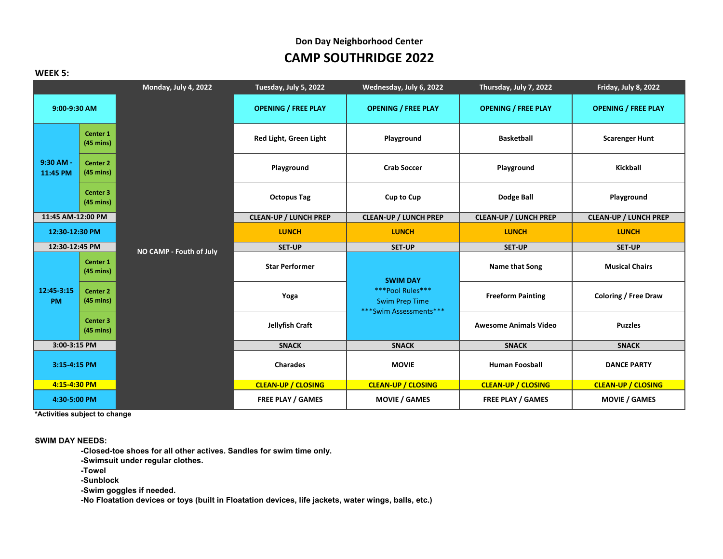| WEEK 5:                 |                                                            |                              |                                                              |                              |                              |
|-------------------------|------------------------------------------------------------|------------------------------|--------------------------------------------------------------|------------------------------|------------------------------|
|                         | Monday, July 4, 2022                                       | Tuesday, July 5, 2022        | Wednesday, July 6, 2022                                      | Thursday, July 7, 2022       | Friday, July 8, 2022         |
| 9:00-9:30 AM            |                                                            | <b>OPENING / FREE PLAY</b>   | <b>OPENING / FREE PLAY</b>                                   | <b>OPENING / FREE PLAY</b>   | <b>OPENING / FREE PLAY</b>   |
|                         | Center 1<br>$(45 \text{ mins})$                            | Red Light, Green Light       | Playground                                                   | <b>Basketball</b>            | <b>Scarenger Hunt</b>        |
| 9:30 AM -<br>11:45 PM   | Center 2<br>$(45 \text{ mins})$                            | Playground                   | <b>Crab Soccer</b>                                           | Playground                   | <b>Kickball</b>              |
|                         | Center 3<br>$(45 \text{ mins})$                            | <b>Octopus Tag</b>           | <b>Cup to Cup</b>                                            | Dodge Ball                   | Playground                   |
| 11:45 AM-12:00 PM       |                                                            | <b>CLEAN-UP / LUNCH PREP</b> | <b>CLEAN-UP / LUNCH PREP</b>                                 | <b>CLEAN-UP / LUNCH PREP</b> | <b>CLEAN-UP / LUNCH PREP</b> |
| 12:30-12:30 PM          |                                                            | <b>LUNCH</b>                 | <b>LUNCH</b>                                                 | <b>LUNCH</b>                 | <b>LUNCH</b>                 |
| 12:30-12:45 PM          |                                                            | <b>SET-UP</b>                | <b>SET-UP</b>                                                | <b>SET-UP</b>                | <b>SET-UP</b>                |
|                         |                                                            |                              |                                                              |                              |                              |
|                         | NO CAMP - Fouth of July<br>Center 1<br>$(45 \text{ mins})$ | <b>Star Performer</b>        |                                                              | Name that Song               | <b>Musical Chairs</b>        |
| 12:45-3:15<br><b>PM</b> | Center 2<br>$(45 \text{ mins})$                            | Yoga                         | <b>SWIM DAY</b><br>***Pool Rules***<br><b>Swim Prep Time</b> | <b>Freeform Painting</b>     | <b>Coloring / Free Draw</b>  |
|                         | Center 3<br>$(45 \text{ mins})$                            | Jellyfish Craft              | ***Swim Assessments***                                       | <b>Awesome Animals Video</b> | <b>Puzzles</b>               |
| 3:00-3:15 PM            |                                                            | <b>SNACK</b>                 | <b>SNACK</b>                                                 | <b>SNACK</b>                 | <b>SNACK</b>                 |
| 3:15-4:15 PM            |                                                            | <b>Charades</b>              | <b>MOVIE</b>                                                 | <b>Human Foosball</b>        | <b>DANCE PARTY</b>           |
| 4:15-4:30 PM            |                                                            | <b>CLEAN-UP / CLOSING</b>    | <b>CLEAN-UP / CLOSING</b>                                    | <b>CLEAN-UP / CLOSING</b>    | <b>CLEAN-UP / CLOSING</b>    |

**\*Activities subject to change**

**SWIM DAY NEEDS:**

**-Closed-toe shoes for all other actives. Sandles for swim time only.**

**-Swimsuit under regular clothes.**

**-Towel**

**-Sunblock**

**-Swim goggles if needed.**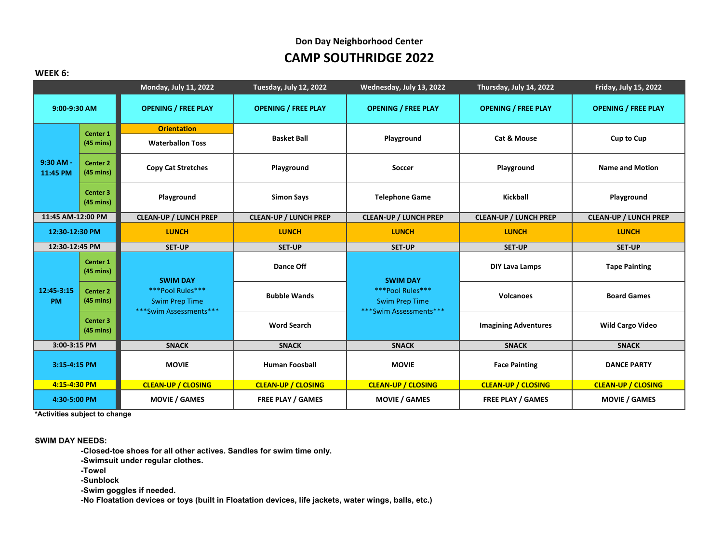# **CAMP SOUTHRIDGE 2022 Don Day Neighborhood Center**

#### **WEEK 6:**

|                         |                                            | <b>Monday, July 11, 2022</b>                                                           | Tuesday, July 12, 2022       | Wednesday, July 13, 2022                                            | Thursday, July 14, 2022      | <b>Friday, July 15, 2022</b> |
|-------------------------|--------------------------------------------|----------------------------------------------------------------------------------------|------------------------------|---------------------------------------------------------------------|------------------------------|------------------------------|
| 9:00-9:30 AM            |                                            | <b>OPENING / FREE PLAY</b>                                                             | <b>OPENING / FREE PLAY</b>   | <b>OPENING / FREE PLAY</b>                                          | <b>OPENING / FREE PLAY</b>   | <b>OPENING / FREE PLAY</b>   |
| 9:30 AM -<br>11:45 PM   | Center 1<br>$(45 \text{ mins})$            | <b>Orientation</b><br><b>Waterballon Toss</b>                                          | <b>Basket Ball</b>           | Playground                                                          | Cat & Mouse                  | <b>Cup to Cup</b>            |
|                         | <b>Center 2</b><br>$(45 \text{ mins})$     | <b>Copy Cat Stretches</b>                                                              | Playground                   | <b>Soccer</b>                                                       | Playground                   | <b>Name and Motion</b>       |
|                         | Center 3<br>$(45 \text{ mins})$            | Playground                                                                             | <b>Simon Says</b>            | <b>Telephone Game</b>                                               | <b>Kickball</b>              | Playground                   |
| 11:45 AM-12:00 PM       |                                            | <b>CLEAN-UP / LUNCH PREP</b>                                                           | <b>CLEAN-UP / LUNCH PREP</b> | <b>CLEAN-UP / LUNCH PREP</b>                                        | <b>CLEAN-UP / LUNCH PREP</b> | <b>CLEAN-UP / LUNCH PREP</b> |
| 12:30-12:30 PM          |                                            | <b>LUNCH</b>                                                                           | <b>LUNCH</b>                 | <b>LUNCH</b>                                                        | <b>LUNCH</b>                 | <b>LUNCH</b>                 |
| 12:30-12:45 PM          |                                            | <b>SET-UP</b>                                                                          | <b>SET-UP</b>                | <b>SET-UP</b>                                                       | <b>SET-UP</b>                | <b>SET-UP</b>                |
|                         | Center <sub>1</sub><br>$(45 \text{ mins})$ | <b>SWIM DAY</b><br>***Pool Rules***<br><b>Swim Prep Time</b><br>***Swim Assessments*** | Dance Off                    | <b>SWIM DAY</b>                                                     | <b>DIY Lava Lamps</b>        | <b>Tape Painting</b>         |
| 12:45-3:15<br><b>PM</b> | <b>Center 2</b><br>$(45 \text{ mins})$     |                                                                                        | <b>Bubble Wands</b>          | ***Pool Rules***<br><b>Swim Prep Time</b><br>***Swim Assessments*** | <b>Volcanoes</b>             | <b>Board Games</b>           |
|                         | Center 3<br>$(45 \text{ mins})$            |                                                                                        | <b>Word Search</b>           |                                                                     | <b>Imagining Adventures</b>  | <b>Wild Cargo Video</b>      |
| 3:00-3:15 PM            |                                            | <b>SNACK</b>                                                                           | <b>SNACK</b>                 | <b>SNACK</b>                                                        | <b>SNACK</b>                 | <b>SNACK</b>                 |
| 3:15-4:15 PM            |                                            | <b>MOVIE</b>                                                                           | <b>Human Foosball</b>        | <b>MOVIE</b>                                                        | <b>Face Painting</b>         | <b>DANCE PARTY</b>           |
| 4:15-4:30 PM            |                                            | <b>CLEAN-UP / CLOSING</b>                                                              | <b>CLEAN-UP / CLOSING</b>    | <b>CLEAN-UP / CLOSING</b>                                           | <b>CLEAN-UP / CLOSING</b>    | <b>CLEAN-UP / CLOSING</b>    |
| 4:30-5:00 PM            |                                            | <b>MOVIE / GAMES</b>                                                                   | <b>FREE PLAY / GAMES</b>     | <b>MOVIE / GAMES</b>                                                | <b>FREE PLAY / GAMES</b>     | <b>MOVIE / GAMES</b>         |

**\*Activities subject to change**

**SWIM DAY NEEDS:**

**-Closed-toe shoes for all other actives. Sandles for swim time only.**

**-Swimsuit under regular clothes.**

**-Towel**

**-Sunblock**

**-Swim goggles if needed.**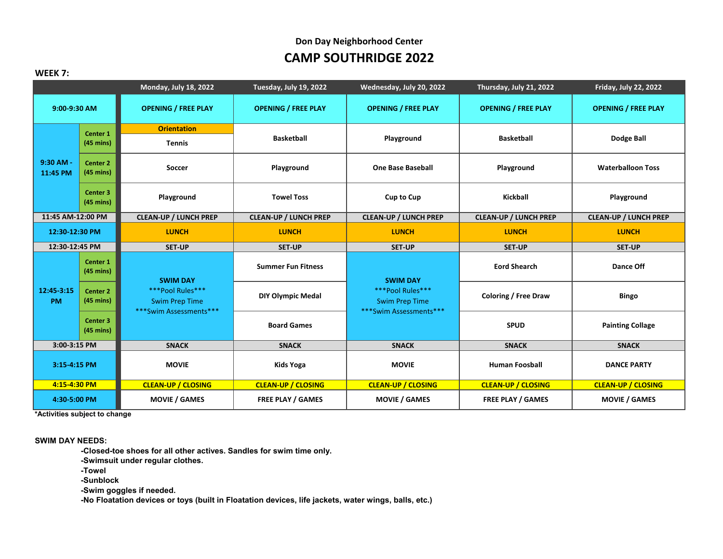#### **WEEK 7:**

|                         |                                            | Monday, July 18, 2022                                                                  | Tuesday, July 19, 2022       | Wednesday, July 20, 2022                                            | Thursday, July 21, 2022      | Friday, July 22, 2022        |
|-------------------------|--------------------------------------------|----------------------------------------------------------------------------------------|------------------------------|---------------------------------------------------------------------|------------------------------|------------------------------|
| 9:00-9:30 AM            |                                            | <b>OPENING / FREE PLAY</b>                                                             | <b>OPENING / FREE PLAY</b>   | <b>OPENING / FREE PLAY</b>                                          | <b>OPENING / FREE PLAY</b>   | <b>OPENING / FREE PLAY</b>   |
| 9:30 AM -<br>11:45 PM   | Center <sub>1</sub><br>$(45 \text{ mins})$ | <b>Orientation</b><br><b>Tennis</b>                                                    | <b>Basketball</b>            | Playground                                                          | <b>Basketball</b>            | <b>Dodge Ball</b>            |
|                         | <b>Center 2</b><br>$(45 \text{ mins})$     | <b>Soccer</b>                                                                          | Playground                   | <b>One Base Baseball</b>                                            | Playground                   | <b>Waterballoon Toss</b>     |
|                         | Center <sub>3</sub><br>$(45 \text{ mins})$ | Playground                                                                             | <b>Towel Toss</b>            | <b>Cup to Cup</b>                                                   | <b>Kickball</b>              | Playground                   |
| 11:45 AM-12:00 PM       |                                            | <b>CLEAN-UP / LUNCH PREP</b>                                                           | <b>CLEAN-UP / LUNCH PREP</b> | <b>CLEAN-UP / LUNCH PREP</b>                                        | <b>CLEAN-UP / LUNCH PREP</b> | <b>CLEAN-UP / LUNCH PREP</b> |
| 12:30-12:30 PM          |                                            | <b>LUNCH</b>                                                                           | <b>LUNCH</b>                 | <b>LUNCH</b>                                                        | <b>LUNCH</b>                 | <b>LUNCH</b>                 |
| 12:30-12:45 PM          |                                            | <b>SET-UP</b>                                                                          | <b>SET-UP</b>                | <b>SET-UP</b>                                                       | <b>SET-UP</b>                | <b>SET-UP</b>                |
|                         | Center 1<br>$(45 \text{ mins})$            | <b>SWIM DAY</b><br>***Pool Rules***<br><b>Swim Prep Time</b><br>***Swim Assessments*** | <b>Summer Fun Fitness</b>    | <b>SWIM DAY</b>                                                     | <b>Eord Shearch</b>          | Dance Off                    |
| 12:45-3:15<br><b>PM</b> | <b>Center 2</b><br>$(45 \text{ mins})$     |                                                                                        | <b>DIY Olympic Medal</b>     | ***Pool Rules***<br><b>Swim Prep Time</b><br>***Swim Assessments*** | <b>Coloring / Free Draw</b>  | <b>Bingo</b>                 |
|                         | Center <sub>3</sub><br>$(45 \text{ mins})$ |                                                                                        | <b>Board Games</b>           |                                                                     | <b>SPUD</b>                  | <b>Painting Collage</b>      |
| 3:00-3:15 PM            |                                            | <b>SNACK</b>                                                                           | <b>SNACK</b>                 | <b>SNACK</b>                                                        | <b>SNACK</b>                 | <b>SNACK</b>                 |
| 3:15-4:15 PM            |                                            | <b>MOVIE</b>                                                                           | <b>Kids Yoga</b>             | <b>MOVIE</b>                                                        | <b>Human Foosball</b>        | <b>DANCE PARTY</b>           |
| 4:15-4:30 PM            |                                            | <b>CLEAN-UP / CLOSING</b>                                                              | <b>CLEAN-UP / CLOSING</b>    | <b>CLEAN-UP / CLOSING</b>                                           | <b>CLEAN-UP / CLOSING</b>    | <b>CLEAN-UP / CLOSING</b>    |
| 4:30-5:00 PM            |                                            | <b>MOVIE / GAMES</b>                                                                   | <b>FREE PLAY / GAMES</b>     | <b>MOVIE / GAMES</b>                                                | <b>FREE PLAY / GAMES</b>     | <b>MOVIE / GAMES</b>         |

**\*Activities subject to change**

**SWIM DAY NEEDS:**

**-Closed-toe shoes for all other actives. Sandles for swim time only.**

**-Swimsuit under regular clothes.**

**-Towel**

**-Sunblock**

**-Swim goggles if needed.**